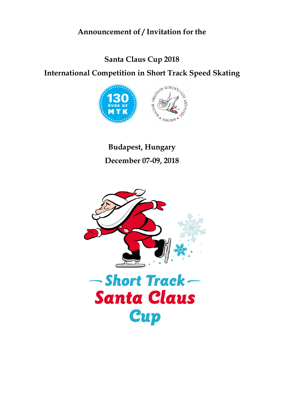# **Announcement of / Invitation for the**

# **Santa Claus Cup 2018**

# **International Competition in Short Track Speed Skating**



**Budapest, Hungary December 07-09, 2018**

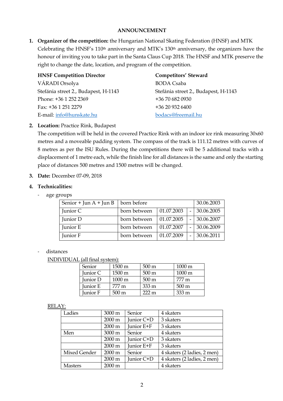### **ANNOUNCEMENT**

**1. Organizer of the competition:** the Hungarian National Skating Federation (HNSF) and MTK Celebrating the HNSF's 110<sup>th</sup> anniversary and MTK's 130<sup>th</sup> anniversary, the organizers have the honour of inviting you to take part in the Santa Claus Cup 2018. The HNSF and MTK preserve the right to change the date, location, and program of the competition.

| <b>HNSF Competition Director</b>     | <b>Competitors' Steward</b>          |
|--------------------------------------|--------------------------------------|
| VÁRADI Orsolya                       | <b>BODA</b> Csaba                    |
| Stefánia street 2., Budapest, H-1143 | Stefánia street 2., Budapest, H-1143 |
| Phone: +36 1 252 2369                | +36 70 682 0930                      |
| Fax: +36 1 251 2279                  | +36 20 932 6400                      |
| E-mail: info@hunskate.hu             | bodacs@freemail.hu                   |

# **2. Location:** Practice Rink, Budapest

The competition will be held in the covered Practice Rink with an indoor ice rink measuring 30x60 metres and a moveable padding system. The compass of the track is 111.12 metres with curves of 8 metres as per the ISU Rules. During the competitions there will be 5 additional tracks with a displacement of 1 metre each, while the finish line for all distances is the same and only the starting place of distances 500 metres and 1500 metres will be changed.

### **3. Date:** December 07-09, 2018

### **4. Technicalities:**

- age groups

| Senior + Jun $A$ + Jun B | born before  |            |  | 30.06.2003 |
|--------------------------|--------------|------------|--|------------|
| Junior C                 | born between | 01.07.2003 |  | 30.06.2005 |
| Junior D                 | born between | 01.07.2005 |  | 30.06.2007 |
| Junior E                 | born between | 01.07.2007 |  | 30.06.2009 |
| Junior F                 | born between | 01.07.2009 |  | 30.06.2011 |

#### distances

INDIVIDUAL (all final system):

| Senior   | 1500 m           | $500 \,\mathrm{m}$ | $1000 \text{ m}$ |
|----------|------------------|--------------------|------------------|
| Junior C | $1500 \text{ m}$ | $500 \text{ m}$    | 1000 m           |
| Junior D | 1000 m           | $500 \text{ m}$    | 777 m            |
| Junior E | 777 m            | $333 \,\mathrm{m}$ | $500 \text{ m}$  |
| Junior F | $500 \text{ m}$  | $222 \text{ m}$    | 333 m            |

#### RELAY:

| Ladies         | 3000 m           | Senior     | 4 skaters                   |
|----------------|------------------|------------|-----------------------------|
|                | 2000 m           | Junior C+D | 3 skaters                   |
|                | $2000 \text{ m}$ | Junior E+F | 3 skaters                   |
| Men            | 3000 m           | Senior     | 4 skaters                   |
|                | 2000 m           | Junior C+D | 3 skaters                   |
|                | $2000 \text{ m}$ | Junior E+F | 3 skaters                   |
| Mixed Gender   | 2000 m           | Senior     | 4 skaters (2 ladies, 2 men) |
|                | 2000 m           | Junior C+D | 4 skaters (2 ladies, 2 men) |
| <b>Masters</b> | 2000 m           |            | 4 skaters                   |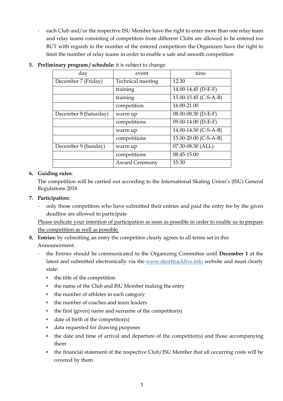each Club and/or the respective ISU Member have the right to enter more than one relay team and relay teams consisting of competitors from different Clubs are allowed to be entered too BUT with regards to the number of the entered competitors the Organizers have the right to limit the number of relay teams in order to enable a safe and smooth competition

| day                   | event                    | time                  |
|-----------------------|--------------------------|-----------------------|
| December 7 (Friday)   | <b>Technical meeting</b> | 12.30                 |
|                       | training                 | 14.00-14.45 (D-E-F)   |
|                       | training                 | 15.00-15.45 (C-S-A-B) |
|                       | competition              | 16.00-21.00           |
| December 8 (Saturday) | warm up                  | 08.00-08.30 (D-E-F)   |
|                       | competitions             | 09.00-14.00 (D-E-F)   |
|                       | warm up                  | 14.00-14.30 (C-S-A-B) |
|                       | competitions             | 15.00-20.00 (C-S-A-B) |
| December 9 (Sunday)   | warm up                  | 07.30-08.30 (ALL)     |
|                       | competitions             | 08.45-15.00           |
|                       | <b>Award Ceremony</b>    | 15.30                 |

# **5. Preliminary program / schedule:** it is subject to change

# **6. Guiding rules:**

The competition will be carried out according to the International Skating Union's (ISU) General Regulations 2018.

# **7. Participation:**

- only those competitors who have submitted their entries and paid the entry fee by the given deadline are allowed to participate

Please indicate your intention of participation as soon as possible in order to enable us to prepare the competition as well as possible.

- **8. Entries:** by submitting an entry the competitor clearly agrees to all terms set in this Announcement.
	- the Entries should be communicated to the Organizing Committee until **December 1** at the latest and submitted electronically via the www.shorttracklive.info website and must clearly state:
		- \* the title of the competition
		- the name of the Club and ISU Member making the entry
		- the number of athletes in each category
		- \* the number of coaches and team leaders
		- \* the first (given) name and surname of the competitor(s)
		- \* date of birth of the competitor(s)
		- data requested for drawing purposes
		- \* the date and time of arrival and departure of the competitor(s) and those accompanying them
		- \* the financial statement of the respective Club/ISU Member that all occurring costs will be covered by them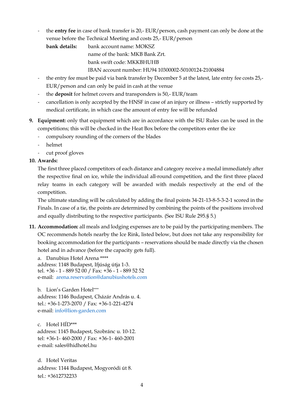- the **entry fee** in case of bank transfer is 20,- EUR/person, cash payment can only be done at the venue before the Technical Meeting and costs 25,- EUR/person

**bank details:** bank account name: MOKSZ

name of the bank: MKB Bank Zrt.

bank swift code: MKKBHUHB

IBAN account number: HU94 10300002-50100124-21004884

- the entry fee must be paid via bank transfer by December 5 at the latest, late entry fee costs 25,-EUR/person and can only be paid in cash at the venue
- the **deposit** for helmet covers and transponders is 50,- EUR/team
- cancellation is only accepted by the HNSF in case of an injury or illness strictly supported by medical certificate, in which case the amount of entry fee will be refunded
- **9. Equipment:** only that equipment which are in accordance with the ISU Rules can be used in the competitions; this will be checked in the Heat Box before the competitors enter the ice
	- compulsory rounding of the corners of the blades
	- helmet
	- cut proof gloves

# **10. Awards:**

The first three placed competitors of each distance and category receive a medal immediately after the respective final on ice, while the individual all-round competition, and the first three placed relay teams in each category will be awarded with medals respectively at the end of the competition.

The ultimate standing will be calculated by adding the final points 34-21-13-8-5-3-2-1 scored in the Finals. In case of a tie, the points are determined by combining the points of the positions involved and equally distributing to the respective participants. (See ISU Rule 295.§ 5.)

**11. Accommodation:** all meals and lodging expenses are to be paid by the participating members. The OC recommends hotels nearby the Ice Rink, listed below, but does not take any responsibility for booking accommodation for the participants – reservations should be made directly via the chosen hotel and in advance (before the capacity gets full).

a. Danubius Hotel Arena \*\*\*\* address: 1148 Budapest, Ifjúság útja 1-3. tel. +36 - 1 - 889 52 00 / Fax: +36 - 1 - 889 52 52 e-mail: arena.reservation@danubiushotels.com

b. Lion's Garden Hotel\*\*\*\* address: 1146 Budapest, Cházár András u. 4. tel.: +36-1-273-2070 / Fax: +36-1-221-4274 e-mail: info@lion-garden.com

c. Hotel HÍD\*\*\* address: 1145 Budapest, Szobránc u. 10-12. tel: +36-1- 460-2000 / Fax: +36-1- 460-2001 e-mail: sales@hidhotel.hu

d. Hotel Veritas address: 1144 Budapest, Mogyoródi út 8. tel.: +3612732233